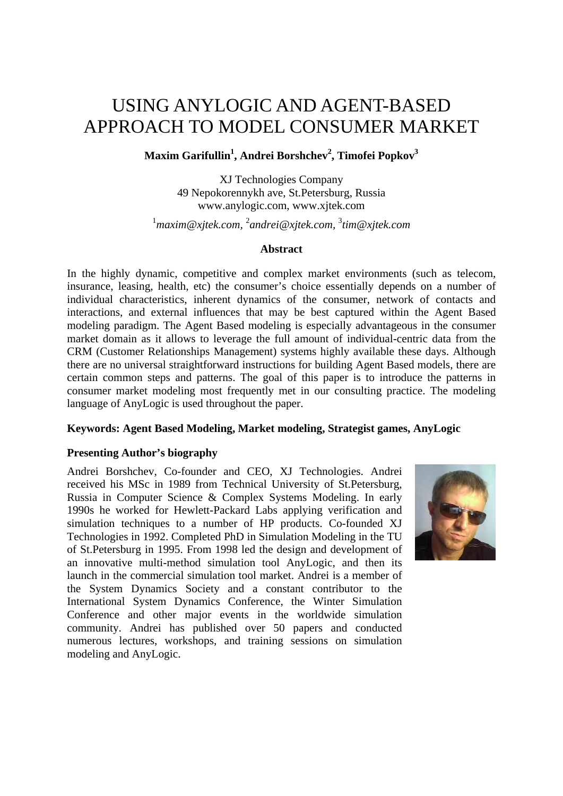# USING ANYLOGIC AND AGENT-BASED APPROACH TO MODEL CONSUMER MARKET

# **Maxim Garifullin1 , Andrei Borshchev2 , Timofei Popkov3**

XJ Technologies Company 49 Nepokorennykh ave, St.Petersburg, Russia www.anylogic.com, www.xjtek.com

<sup>1</sup> maxim@xjtek.com, <sup>2</sup>andrei@xjtek.com, <sup>3</sup>tim@xjtek.com

## **Abstract**

In the highly dynamic, competitive and complex market environments (such as telecom, insurance, leasing, health, etc) the consumer's choice essentially depends on a number of individual characteristics, inherent dynamics of the consumer, network of contacts and interactions, and external influences that may be best captured within the Agent Based modeling paradigm. The Agent Based modeling is especially advantageous in the consumer market domain as it allows to leverage the full amount of individual-centric data from the CRM (Customer Relationships Management) systems highly available these days. Although there are no universal straightforward instructions for building Agent Based models, there are certain common steps and patterns. The goal of this paper is to introduce the patterns in consumer market modeling most frequently met in our consulting practice. The modeling language of AnyLogic is used throughout the paper.

# **Keywords: Agent Based Modeling, Market modeling, Strategist games, AnyLogic**

# **Presenting Author's biography**

Andrei Borshchev, Co-founder and CEO, XJ Technologies. Andrei received his MSc in 1989 from Technical University of St.Petersburg, Russia in Computer Science & Complex Systems Modeling. In early 1990s he worked for Hewlett-Packard Labs applying verification and simulation techniques to a number of HP products. Co-founded XJ Technologies in 1992. Completed PhD in Simulation Modeling in the TU of St.Petersburg in 1995. From 1998 led the design and development of an innovative multi-method simulation tool AnyLogic, and then its launch in the commercial simulation tool market. Andrei is a member of the System Dynamics Society and a constant contributor to the International System Dynamics Conference, the Winter Simulation Conference and other major events in the worldwide simulation community. Andrei has published over 50 papers and conducted numerous lectures, workshops, and training sessions on simulation modeling and AnyLogic.

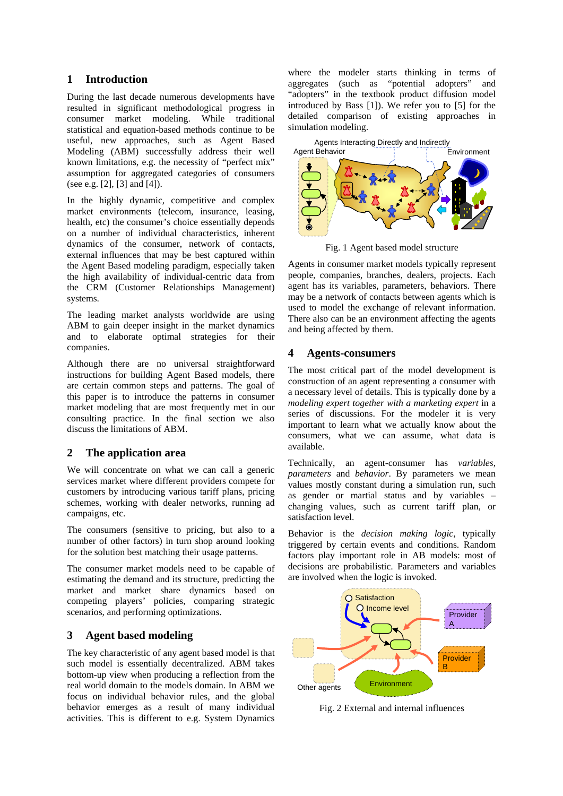### **1 Introduction**

During the last decade numerous developments have resulted in significant methodological progress in consumer market modeling. While traditional statistical and equation-based methods continue to be useful, new approaches, such as Agent Based Modeling (ABM) successfully address their well known limitations, e.g. the necessity of "perfect mix" assumption for aggregated categories of consumers (see e.g. [2], [3] and [4]).

In the highly dynamic, competitive and complex market environments (telecom, insurance, leasing, health, etc) the consumer's choice essentially depends on a number of individual characteristics, inherent dynamics of the consumer, network of contacts, external influences that may be best captured within the Agent Based modeling paradigm, especially taken the high availability of individual-centric data from the CRM (Customer Relationships Management) systems.

The leading market analysts worldwide are using ABM to gain deeper insight in the market dynamics and to elaborate optimal strategies for their companies.

Although there are no universal straightforward instructions for building Agent Based models, there are certain common steps and patterns. The goal of this paper is to introduce the patterns in consumer market modeling that are most frequently met in our consulting practice. In the final section we also discuss the limitations of ABM.

## **2 The application area**

We will concentrate on what we can call a generic services market where different providers compete for customers by introducing various tariff plans, pricing schemes, working with dealer networks, running ad campaigns, etc.

The consumers (sensitive to pricing, but also to a number of other factors) in turn shop around looking for the solution best matching their usage patterns.

The consumer market models need to be capable of estimating the demand and its structure, predicting the market and market share dynamics based on competing players' policies, comparing strategic scenarios, and performing optimizations.

## **3 Agent based modeling**

The key characteristic of any agent based model is that such model is essentially decentralized. ABM takes bottom-up view when producing a reflection from the real world domain to the models domain. In ABM we focus on individual behavior rules, and the global behavior emerges as a result of many individual activities. This is different to e.g. System Dynamics

where the modeler starts thinking in terms of aggregates (such as "potential adopters" and "adopters" in the textbook product diffusion model introduced by Bass [1]). We refer you to [5] for the detailed comparison of existing approaches in simulation modeling.



Fig. 1 Agent based model structure

Agents in consumer market models typically represent people, companies, branches, dealers, projects. Each agent has its variables, parameters, behaviors. There may be a network of contacts between agents which is used to model the exchange of relevant information. There also can be an environment affecting the agents and being affected by them.

## **4 Agents-consumers**

The most critical part of the model development is construction of an agent representing a consumer with a necessary level of details. This is typically done by a *modeling expert together with a marketing expert* in a series of discussions. For the modeler it is very important to learn what we actually know about the consumers, what we can assume, what data is available.

Technically, an agent-consumer has *variables*, *parameters* and *behavior*. By parameters we mean values mostly constant during a simulation run, such as gender or martial status and by variables – changing values, such as current tariff plan, or satisfaction level.

Behavior is the *decision making logic*, typically triggered by certain events and conditions. Random factors play important role in AB models: most of decisions are probabilistic. Parameters and variables are involved when the logic is invoked.



Fig. 2 External and internal influences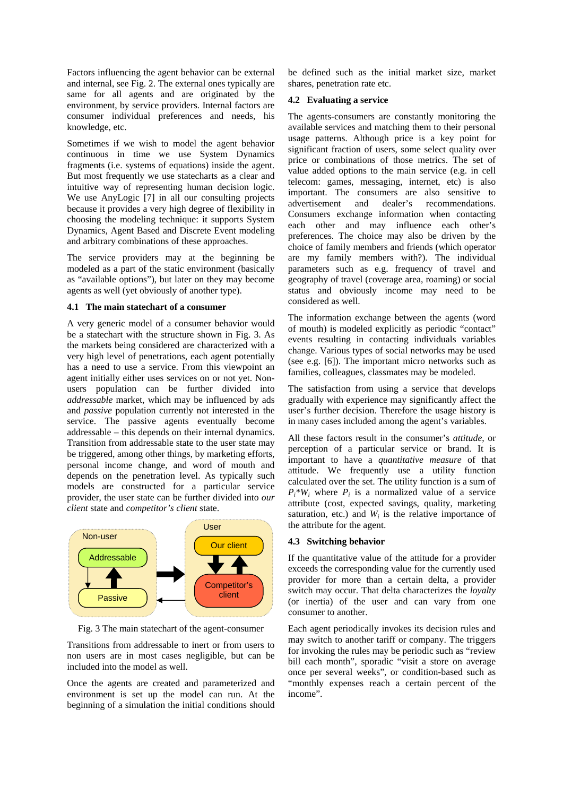Factors influencing the agent behavior can be external and internal, see Fig. 2. The external ones typically are same for all agents and are originated by the environment, by service providers. Internal factors are consumer individual preferences and needs, his knowledge, etc.

Sometimes if we wish to model the agent behavior continuous in time we use System Dynamics fragments (i.e. systems of equations) inside the agent. But most frequently we use statecharts as a clear and intuitive way of representing human decision logic. We use AnyLogic [7] in all our consulting projects because it provides a very high degree of flexibility in choosing the modeling technique: it supports System Dynamics, Agent Based and Discrete Event modeling and arbitrary combinations of these approaches.

The service providers may at the beginning be modeled as a part of the static environment (basically as "available options"), but later on they may become agents as well (yet obviously of another type).

#### **4.1 The main statechart of a consumer**

A very generic model of a consumer behavior would be a statechart with the structure shown in Fig. 3. As the markets being considered are characterized with a very high level of penetrations, each agent potentially has a need to use a service. From this viewpoint an agent initially either uses services on or not yet. Nonusers population can be further divided into *addressable* market, which may be influenced by ads and *passive* population currently not interested in the service. The passive agents eventually become addressable – this depends on their internal dynamics. Transition from addressable state to the user state may be triggered, among other things, by marketing efforts, personal income change, and word of mouth and depends on the penetration level. As typically such models are constructed for a particular service provider, the user state can be further divided into *our client* state and *competitor's client* state.



Fig. 3 The main statechart of the agent-consumer

Transitions from addressable to inert or from users to non users are in most cases negligible, but can be included into the model as well.

Once the agents are created and parameterized and environment is set up the model can run. At the beginning of a simulation the initial conditions should be defined such as the initial market size, market shares, penetration rate etc.

#### **4.2 Evaluating a service**

The agents-consumers are constantly monitoring the available services and matching them to their personal usage patterns. Although price is a key point for significant fraction of users, some select quality over price or combinations of those metrics. The set of value added options to the main service (e.g. in cell telecom: games, messaging, internet, etc) is also important. The consumers are also sensitive to advertisement and dealer's recommendations. Consumers exchange information when contacting each other and may influence each other's preferences. The choice may also be driven by the choice of family members and friends (which operator are my family members with?). The individual parameters such as e.g. frequency of travel and geography of travel (coverage area, roaming) or social status and obviously income may need to be considered as well.

The information exchange between the agents (word of mouth) is modeled explicitly as periodic "contact" events resulting in contacting individuals variables change. Various types of social networks may be used (see e.g. [6]). The important micro networks such as families, colleagues, classmates may be modeled.

The satisfaction from using a service that develops gradually with experience may significantly affect the user's further decision. Therefore the usage history is in many cases included among the agent's variables.

All these factors result in the consumer's *attitude*, or perception of a particular service or brand. It is important to have a *quantitative measure* of that attitude. We frequently use a utility function calculated over the set. The utility function is a sum of  $P_i^*W_i$  where  $P_i$  is a normalized value of a service attribute (cost, expected savings, quality, marketing saturation, etc.) and  $W_i$  is the relative importance of the attribute for the agent.

#### **4.3 Switching behavior**

If the quantitative value of the attitude for a provider exceeds the corresponding value for the currently used provider for more than a certain delta, a provider switch may occur. That delta characterizes the *loyalty* (or inertia) of the user and can vary from one consumer to another.

Each agent periodically invokes its decision rules and may switch to another tariff or company. The triggers for invoking the rules may be periodic such as "review bill each month", sporadic "visit a store on average once per several weeks", or condition-based such as "monthly expenses reach a certain percent of the income".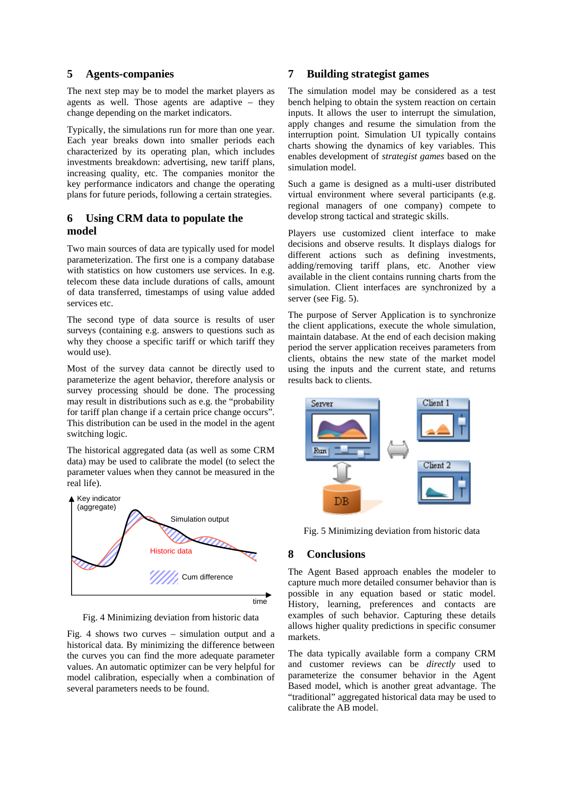#### **5 Agents-companies**

The next step may be to model the market players as agents as well. Those agents are adaptive – they change depending on the market indicators.

Typically, the simulations run for more than one year. Each year breaks down into smaller periods each characterized by its operating plan, which includes investments breakdown: advertising, new tariff plans, increasing quality, etc. The companies monitor the key performance indicators and change the operating plans for future periods, following a certain strategies.

# **6 Using CRM data to populate the model**

Two main sources of data are typically used for model parameterization. The first one is a company database with statistics on how customers use services. In e.g. telecom these data include durations of calls, amount of data transferred, timestamps of using value added services etc.

The second type of data source is results of user surveys (containing e.g. answers to questions such as why they choose a specific tariff or which tariff they would use).

Most of the survey data cannot be directly used to parameterize the agent behavior, therefore analysis or survey processing should be done. The processing may result in distributions such as e.g. the "probability for tariff plan change if a certain price change occurs". This distribution can be used in the model in the agent switching logic.

The historical aggregated data (as well as some CRM data) may be used to calibrate the model (to select the parameter values when they cannot be measured in the real life).



Fig. 4 Minimizing deviation from historic data

Fig. 4 shows two curves – simulation output and a historical data. By minimizing the difference between the curves you can find the more adequate parameter values. An automatic optimizer can be very helpful for model calibration, especially when a combination of several parameters needs to be found.

# **7 Building strategist games**

The simulation model may be considered as a test bench helping to obtain the system reaction on certain inputs. It allows the user to interrupt the simulation, apply changes and resume the simulation from the interruption point. Simulation UI typically contains charts showing the dynamics of key variables. This enables development of *strategist games* based on the simulation model.

Such a game is designed as a multi-user distributed virtual environment where several participants (e.g. regional managers of one company) compete to develop strong tactical and strategic skills.

Players use customized client interface to make decisions and observe results. It displays dialogs for different actions such as defining investments, adding/removing tariff plans, etc. Another view available in the client contains running charts from the simulation. Client interfaces are synchronized by a server (see Fig. 5).

The purpose of Server Application is to synchronize the client applications, execute the whole simulation, maintain database. At the end of each decision making period the server application receives parameters from clients, obtains the new state of the market model using the inputs and the current state, and returns results back to clients.



Fig. 5 Minimizing deviation from historic data

## **8 Conclusions**

The Agent Based approach enables the modeler to capture much more detailed consumer behavior than is possible in any equation based or static model. History, learning, preferences and contacts are examples of such behavior. Capturing these details allows higher quality predictions in specific consumer markets.

The data typically available form a company CRM and customer reviews can be *directly* used to parameterize the consumer behavior in the Agent Based model, which is another great advantage. The "traditional" aggregated historical data may be used to calibrate the AB model.